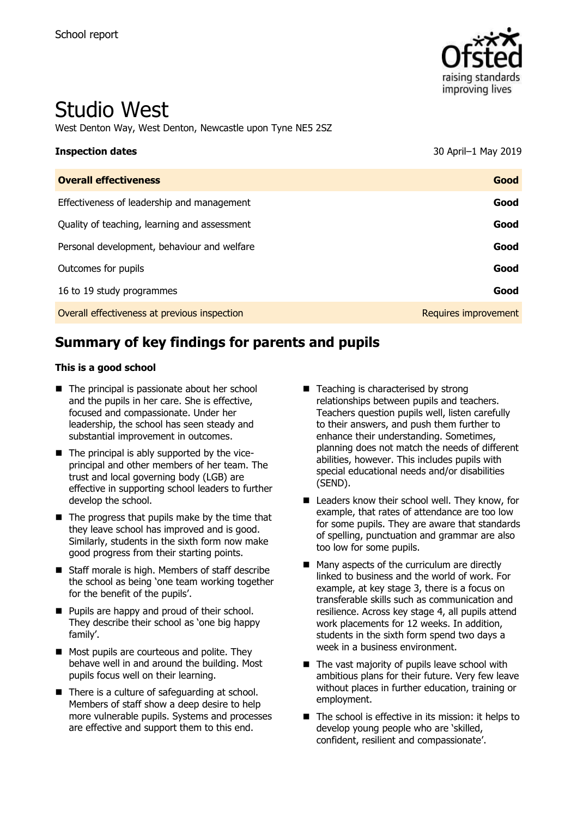

# Studio West

West Denton Way, West Denton, Newcastle upon Tyne NE5 2SZ

| <b>Inspection dates</b>                      | 30 April-1 May 2019  |
|----------------------------------------------|----------------------|
| <b>Overall effectiveness</b>                 | Good                 |
| Effectiveness of leadership and management   | Good                 |
| Quality of teaching, learning and assessment | Good                 |
| Personal development, behaviour and welfare  | Good                 |
| Outcomes for pupils                          | Good                 |
| 16 to 19 study programmes                    | Good                 |
| Overall effectiveness at previous inspection | Requires improvement |

# **Summary of key findings for parents and pupils**

#### **This is a good school**

- The principal is passionate about her school and the pupils in her care. She is effective, focused and compassionate. Under her leadership, the school has seen steady and substantial improvement in outcomes.
- The principal is ably supported by the viceprincipal and other members of her team. The trust and local governing body (LGB) are effective in supporting school leaders to further develop the school.
- The progress that pupils make by the time that they leave school has improved and is good. Similarly, students in the sixth form now make good progress from their starting points.
- Staff morale is high. Members of staff describe the school as being 'one team working together for the benefit of the pupils'.
- Pupils are happy and proud of their school. They describe their school as 'one big happy family'.
- Most pupils are courteous and polite. They behave well in and around the building. Most pupils focus well on their learning.
- There is a culture of safeguarding at school. Members of staff show a deep desire to help more vulnerable pupils. Systems and processes are effective and support them to this end.
- Teaching is characterised by strong relationships between pupils and teachers. Teachers question pupils well, listen carefully to their answers, and push them further to enhance their understanding. Sometimes, planning does not match the needs of different abilities, however. This includes pupils with special educational needs and/or disabilities (SEND).
- Leaders know their school well. They know, for example, that rates of attendance are too low for some pupils. They are aware that standards of spelling, punctuation and grammar are also too low for some pupils.
- Many aspects of the curriculum are directly linked to business and the world of work. For example, at key stage 3, there is a focus on transferable skills such as communication and resilience. Across key stage 4, all pupils attend work placements for 12 weeks. In addition, students in the sixth form spend two days a week in a business environment.
- The vast majority of pupils leave school with ambitious plans for their future. Very few leave without places in further education, training or employment.
- The school is effective in its mission: it helps to develop young people who are 'skilled, confident, resilient and compassionate'.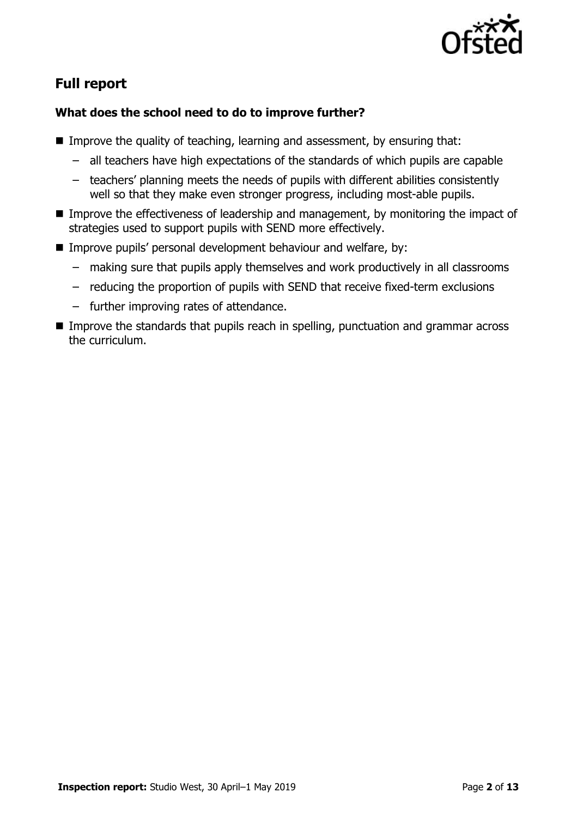

## **Full report**

### **What does the school need to do to improve further?**

- Improve the quality of teaching, learning and assessment, by ensuring that:
	- all teachers have high expectations of the standards of which pupils are capable
	- teachers' planning meets the needs of pupils with different abilities consistently well so that they make even stronger progress, including most-able pupils.
- Improve the effectiveness of leadership and management, by monitoring the impact of strategies used to support pupils with SEND more effectively.
- Improve pupils' personal development behaviour and welfare, by:
	- making sure that pupils apply themselves and work productively in all classrooms
	- reducing the proportion of pupils with SEND that receive fixed-term exclusions
	- further improving rates of attendance.
- Improve the standards that pupils reach in spelling, punctuation and grammar across the curriculum.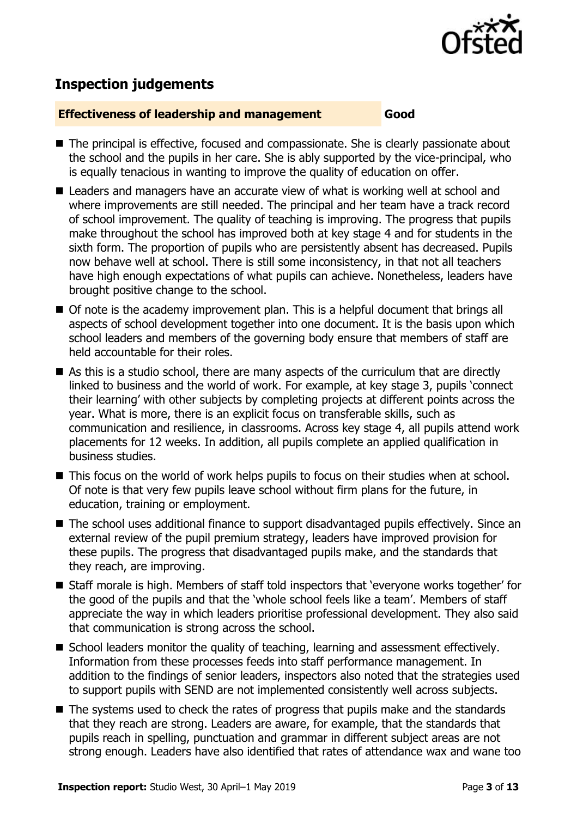

# **Inspection judgements**

#### **Effectiveness of leadership and management Good**

- The principal is effective, focused and compassionate. She is clearly passionate about the school and the pupils in her care. She is ably supported by the vice-principal, who is equally tenacious in wanting to improve the quality of education on offer.
- Leaders and managers have an accurate view of what is working well at school and where improvements are still needed. The principal and her team have a track record of school improvement. The quality of teaching is improving. The progress that pupils make throughout the school has improved both at key stage 4 and for students in the sixth form. The proportion of pupils who are persistently absent has decreased. Pupils now behave well at school. There is still some inconsistency, in that not all teachers have high enough expectations of what pupils can achieve. Nonetheless, leaders have brought positive change to the school.
- Of note is the academy improvement plan. This is a helpful document that brings all aspects of school development together into one document. It is the basis upon which school leaders and members of the governing body ensure that members of staff are held accountable for their roles.
- As this is a studio school, there are many aspects of the curriculum that are directly linked to business and the world of work. For example, at key stage 3, pupils 'connect their learning' with other subjects by completing projects at different points across the year. What is more, there is an explicit focus on transferable skills, such as communication and resilience, in classrooms. Across key stage 4, all pupils attend work placements for 12 weeks. In addition, all pupils complete an applied qualification in business studies.
- This focus on the world of work helps pupils to focus on their studies when at school. Of note is that very few pupils leave school without firm plans for the future, in education, training or employment.
- The school uses additional finance to support disadvantaged pupils effectively. Since an external review of the pupil premium strategy, leaders have improved provision for these pupils. The progress that disadvantaged pupils make, and the standards that they reach, are improving.
- Staff morale is high. Members of staff told inspectors that 'everyone works together' for the good of the pupils and that the 'whole school feels like a team'. Members of staff appreciate the way in which leaders prioritise professional development. They also said that communication is strong across the school.
- School leaders monitor the quality of teaching, learning and assessment effectively. Information from these processes feeds into staff performance management. In addition to the findings of senior leaders, inspectors also noted that the strategies used to support pupils with SEND are not implemented consistently well across subjects.
- The systems used to check the rates of progress that pupils make and the standards that they reach are strong. Leaders are aware, for example, that the standards that pupils reach in spelling, punctuation and grammar in different subject areas are not strong enough. Leaders have also identified that rates of attendance wax and wane too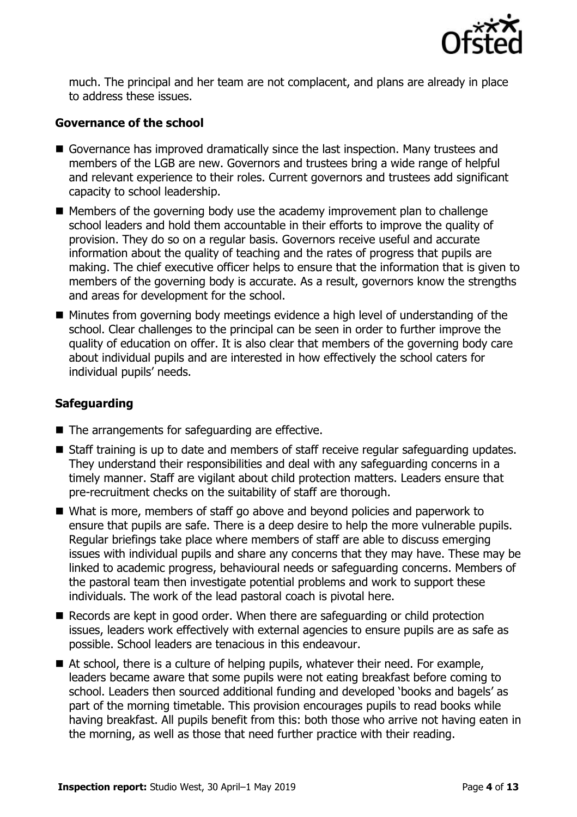

much. The principal and her team are not complacent, and plans are already in place to address these issues.

#### **Governance of the school**

- Governance has improved dramatically since the last inspection. Many trustees and members of the LGB are new. Governors and trustees bring a wide range of helpful and relevant experience to their roles. Current governors and trustees add significant capacity to school leadership.
- Members of the governing body use the academy improvement plan to challenge school leaders and hold them accountable in their efforts to improve the quality of provision. They do so on a regular basis. Governors receive useful and accurate information about the quality of teaching and the rates of progress that pupils are making. The chief executive officer helps to ensure that the information that is given to members of the governing body is accurate. As a result, governors know the strengths and areas for development for the school.
- Minutes from governing body meetings evidence a high level of understanding of the school. Clear challenges to the principal can be seen in order to further improve the quality of education on offer. It is also clear that members of the governing body care about individual pupils and are interested in how effectively the school caters for individual pupils' needs.

### **Safeguarding**

- The arrangements for safeguarding are effective.
- Staff training is up to date and members of staff receive regular safeguarding updates. They understand their responsibilities and deal with any safeguarding concerns in a timely manner. Staff are vigilant about child protection matters. Leaders ensure that pre-recruitment checks on the suitability of staff are thorough.
- What is more, members of staff go above and beyond policies and paperwork to ensure that pupils are safe. There is a deep desire to help the more vulnerable pupils. Regular briefings take place where members of staff are able to discuss emerging issues with individual pupils and share any concerns that they may have. These may be linked to academic progress, behavioural needs or safeguarding concerns. Members of the pastoral team then investigate potential problems and work to support these individuals. The work of the lead pastoral coach is pivotal here.
- Records are kept in good order. When there are safeguarding or child protection issues, leaders work effectively with external agencies to ensure pupils are as safe as possible. School leaders are tenacious in this endeavour.
- At school, there is a culture of helping pupils, whatever their need. For example, leaders became aware that some pupils were not eating breakfast before coming to school. Leaders then sourced additional funding and developed 'books and bagels' as part of the morning timetable. This provision encourages pupils to read books while having breakfast. All pupils benefit from this: both those who arrive not having eaten in the morning, as well as those that need further practice with their reading.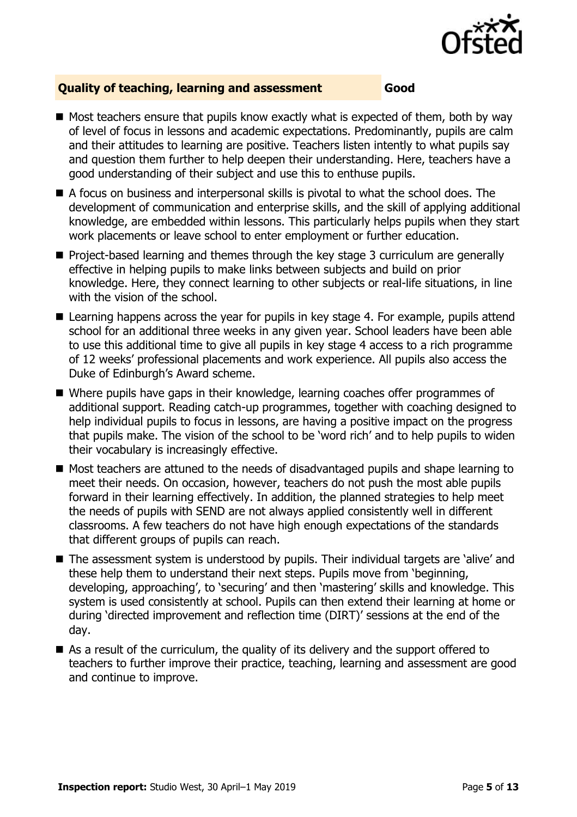

### **Quality of teaching, learning and assessment Good**

- Most teachers ensure that pupils know exactly what is expected of them, both by way of level of focus in lessons and academic expectations. Predominantly, pupils are calm and their attitudes to learning are positive. Teachers listen intently to what pupils say and question them further to help deepen their understanding. Here, teachers have a good understanding of their subject and use this to enthuse pupils.
- A focus on business and interpersonal skills is pivotal to what the school does. The development of communication and enterprise skills, and the skill of applying additional knowledge, are embedded within lessons. This particularly helps pupils when they start work placements or leave school to enter employment or further education.
- Project-based learning and themes through the key stage 3 curriculum are generally effective in helping pupils to make links between subjects and build on prior knowledge. Here, they connect learning to other subjects or real-life situations, in line with the vision of the school.
- Learning happens across the year for pupils in key stage 4. For example, pupils attend school for an additional three weeks in any given year. School leaders have been able to use this additional time to give all pupils in key stage 4 access to a rich programme of 12 weeks' professional placements and work experience. All pupils also access the Duke of Edinburgh's Award scheme.
- Where pupils have gaps in their knowledge, learning coaches offer programmes of additional support. Reading catch-up programmes, together with coaching designed to help individual pupils to focus in lessons, are having a positive impact on the progress that pupils make. The vision of the school to be 'word rich' and to help pupils to widen their vocabulary is increasingly effective.
- Most teachers are attuned to the needs of disadvantaged pupils and shape learning to meet their needs. On occasion, however, teachers do not push the most able pupils forward in their learning effectively. In addition, the planned strategies to help meet the needs of pupils with SEND are not always applied consistently well in different classrooms. A few teachers do not have high enough expectations of the standards that different groups of pupils can reach.
- The assessment system is understood by pupils. Their individual targets are 'alive' and these help them to understand their next steps. Pupils move from 'beginning, developing, approaching', to 'securing' and then 'mastering' skills and knowledge. This system is used consistently at school. Pupils can then extend their learning at home or during 'directed improvement and reflection time (DIRT)' sessions at the end of the day.
- As a result of the curriculum, the quality of its delivery and the support offered to teachers to further improve their practice, teaching, learning and assessment are good and continue to improve.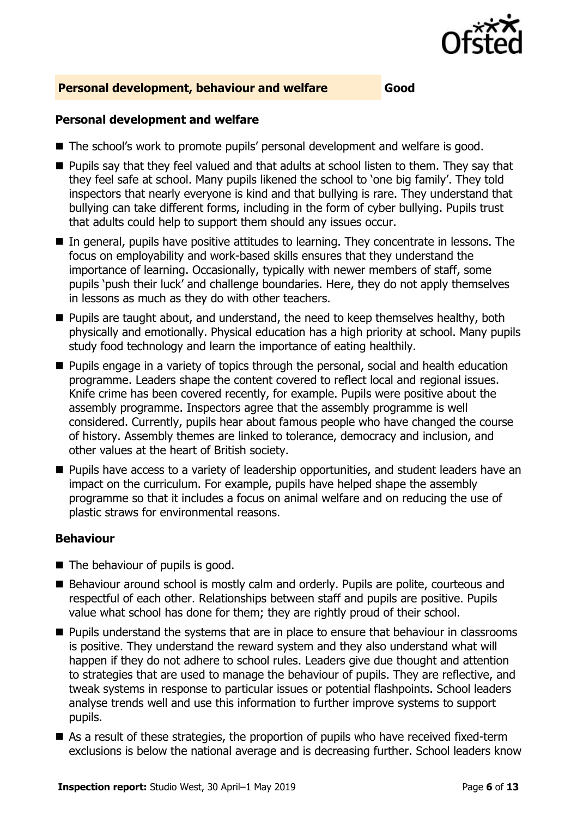

#### **Personal development, behaviour and welfare Good**

#### **Personal development and welfare**

- The school's work to promote pupils' personal development and welfare is good.
- Pupils say that they feel valued and that adults at school listen to them. They say that they feel safe at school. Many pupils likened the school to 'one big family'. They told inspectors that nearly everyone is kind and that bullying is rare. They understand that bullying can take different forms, including in the form of cyber bullying. Pupils trust that adults could help to support them should any issues occur.
- In general, pupils have positive attitudes to learning. They concentrate in lessons. The focus on employability and work-based skills ensures that they understand the importance of learning. Occasionally, typically with newer members of staff, some pupils 'push their luck' and challenge boundaries. Here, they do not apply themselves in lessons as much as they do with other teachers.
- Pupils are taught about, and understand, the need to keep themselves healthy, both physically and emotionally. Physical education has a high priority at school. Many pupils study food technology and learn the importance of eating healthily.
- Pupils engage in a variety of topics through the personal, social and health education programme. Leaders shape the content covered to reflect local and regional issues. Knife crime has been covered recently, for example. Pupils were positive about the assembly programme. Inspectors agree that the assembly programme is well considered. Currently, pupils hear about famous people who have changed the course of history. Assembly themes are linked to tolerance, democracy and inclusion, and other values at the heart of British society.
- Pupils have access to a variety of leadership opportunities, and student leaders have an impact on the curriculum. For example, pupils have helped shape the assembly programme so that it includes a focus on animal welfare and on reducing the use of plastic straws for environmental reasons.

#### **Behaviour**

- The behaviour of pupils is good.
- Behaviour around school is mostly calm and orderly. Pupils are polite, courteous and respectful of each other. Relationships between staff and pupils are positive. Pupils value what school has done for them; they are rightly proud of their school.
- Pupils understand the systems that are in place to ensure that behaviour in classrooms is positive. They understand the reward system and they also understand what will happen if they do not adhere to school rules. Leaders give due thought and attention to strategies that are used to manage the behaviour of pupils. They are reflective, and tweak systems in response to particular issues or potential flashpoints. School leaders analyse trends well and use this information to further improve systems to support pupils.
- As a result of these strategies, the proportion of pupils who have received fixed-term exclusions is below the national average and is decreasing further. School leaders know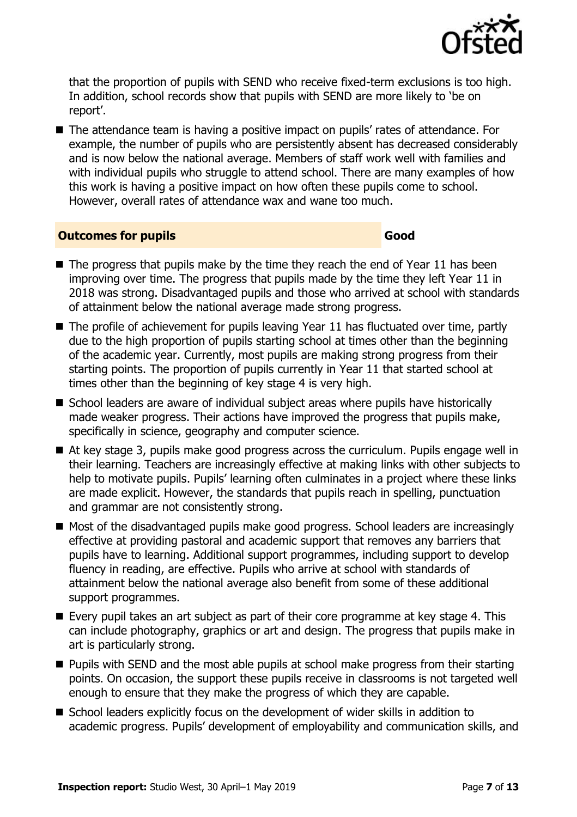

that the proportion of pupils with SEND who receive fixed-term exclusions is too high. In addition, school records show that pupils with SEND are more likely to 'be on report'.

■ The attendance team is having a positive impact on pupils' rates of attendance. For example, the number of pupils who are persistently absent has decreased considerably and is now below the national average. Members of staff work well with families and with individual pupils who struggle to attend school. There are many examples of how this work is having a positive impact on how often these pupils come to school. However, overall rates of attendance wax and wane too much.

#### **Outcomes for pupils Good**

- $\blacksquare$  The progress that pupils make by the time they reach the end of Year 11 has been improving over time. The progress that pupils made by the time they left Year 11 in 2018 was strong. Disadvantaged pupils and those who arrived at school with standards of attainment below the national average made strong progress.
- The profile of achievement for pupils leaving Year 11 has fluctuated over time, partly due to the high proportion of pupils starting school at times other than the beginning of the academic year. Currently, most pupils are making strong progress from their starting points. The proportion of pupils currently in Year 11 that started school at times other than the beginning of key stage 4 is very high.
- School leaders are aware of individual subject areas where pupils have historically made weaker progress. Their actions have improved the progress that pupils make, specifically in science, geography and computer science.
- At key stage 3, pupils make good progress across the curriculum. Pupils engage well in their learning. Teachers are increasingly effective at making links with other subjects to help to motivate pupils. Pupils' learning often culminates in a project where these links are made explicit. However, the standards that pupils reach in spelling, punctuation and grammar are not consistently strong.
- Most of the disadvantaged pupils make good progress. School leaders are increasingly effective at providing pastoral and academic support that removes any barriers that pupils have to learning. Additional support programmes, including support to develop fluency in reading, are effective. Pupils who arrive at school with standards of attainment below the national average also benefit from some of these additional support programmes.
- Every pupil takes an art subject as part of their core programme at key stage 4. This can include photography, graphics or art and design. The progress that pupils make in art is particularly strong.
- Pupils with SEND and the most able pupils at school make progress from their starting points. On occasion, the support these pupils receive in classrooms is not targeted well enough to ensure that they make the progress of which they are capable.
- School leaders explicitly focus on the development of wider skills in addition to academic progress. Pupils' development of employability and communication skills, and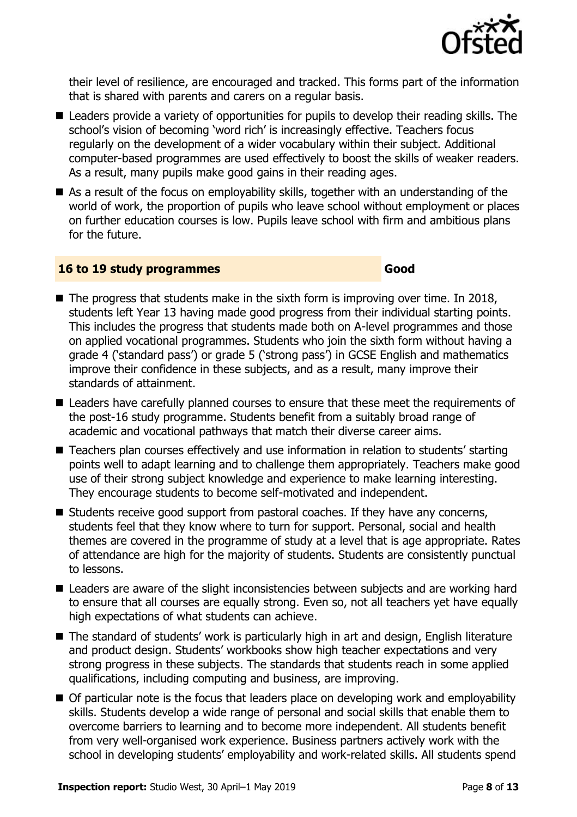

their level of resilience, are encouraged and tracked. This forms part of the information that is shared with parents and carers on a regular basis.

- Leaders provide a variety of opportunities for pupils to develop their reading skills. The school's vision of becoming 'word rich' is increasingly effective. Teachers focus regularly on the development of a wider vocabulary within their subject. Additional computer-based programmes are used effectively to boost the skills of weaker readers. As a result, many pupils make good gains in their reading ages.
- As a result of the focus on employability skills, together with an understanding of the world of work, the proportion of pupils who leave school without employment or places on further education courses is low. Pupils leave school with firm and ambitious plans for the future.

#### **16 to 19 study programmes Good**

- $\blacksquare$  The progress that students make in the sixth form is improving over time. In 2018, students left Year 13 having made good progress from their individual starting points. This includes the progress that students made both on A-level programmes and those on applied vocational programmes. Students who join the sixth form without having a grade 4 ('standard pass') or grade 5 ('strong pass') in GCSE English and mathematics improve their confidence in these subjects, and as a result, many improve their standards of attainment.
- Leaders have carefully planned courses to ensure that these meet the requirements of the post-16 study programme. Students benefit from a suitably broad range of academic and vocational pathways that match their diverse career aims.
- Teachers plan courses effectively and use information in relation to students' starting points well to adapt learning and to challenge them appropriately. Teachers make good use of their strong subject knowledge and experience to make learning interesting. They encourage students to become self-motivated and independent.
- Students receive good support from pastoral coaches. If they have any concerns, students feel that they know where to turn for support. Personal, social and health themes are covered in the programme of study at a level that is age appropriate. Rates of attendance are high for the majority of students. Students are consistently punctual to lessons.
- Leaders are aware of the slight inconsistencies between subjects and are working hard to ensure that all courses are equally strong. Even so, not all teachers yet have equally high expectations of what students can achieve.
- The standard of students' work is particularly high in art and design, English literature and product design. Students' workbooks show high teacher expectations and very strong progress in these subjects. The standards that students reach in some applied qualifications, including computing and business, are improving.
- Of particular note is the focus that leaders place on developing work and employability skills. Students develop a wide range of personal and social skills that enable them to overcome barriers to learning and to become more independent. All students benefit from very well-organised work experience. Business partners actively work with the school in developing students' employability and work-related skills. All students spend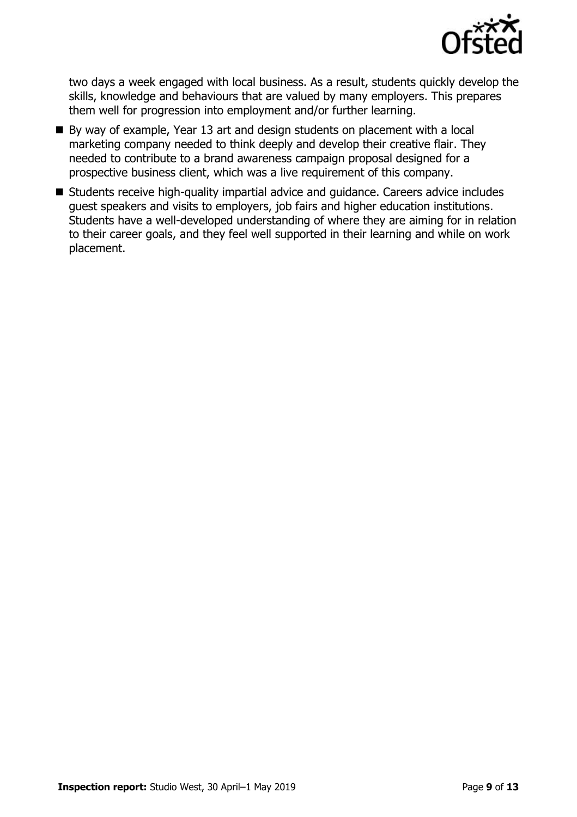

two days a week engaged with local business. As a result, students quickly develop the skills, knowledge and behaviours that are valued by many employers. This prepares them well for progression into employment and/or further learning.

- By way of example, Year 13 art and design students on placement with a local marketing company needed to think deeply and develop their creative flair. They needed to contribute to a brand awareness campaign proposal designed for a prospective business client, which was a live requirement of this company.
- Students receive high-quality impartial advice and quidance. Careers advice includes guest speakers and visits to employers, job fairs and higher education institutions. Students have a well-developed understanding of where they are aiming for in relation to their career goals, and they feel well supported in their learning and while on work placement.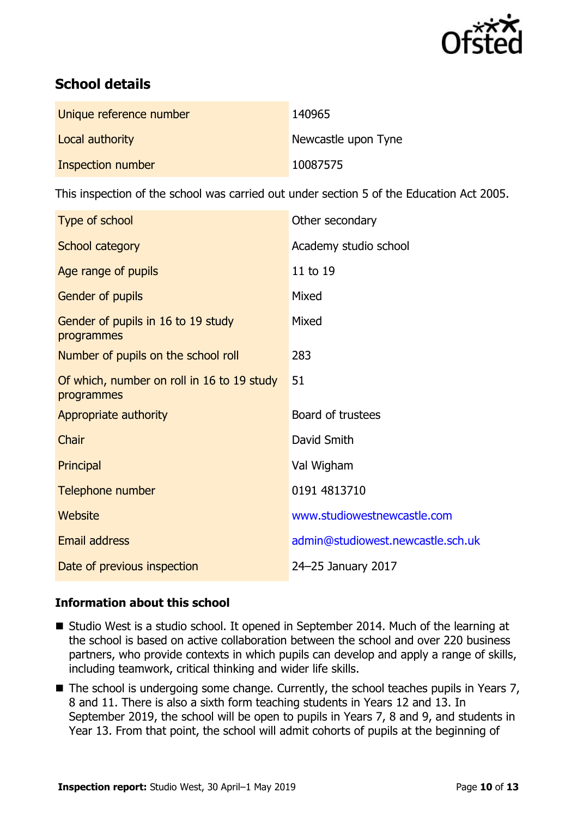

# **School details**

| Unique reference number | 140965              |
|-------------------------|---------------------|
| Local authority         | Newcastle upon Tyne |
| Inspection number       | 10087575            |

This inspection of the school was carried out under section 5 of the Education Act 2005.

| Type of school                                           | Other secondary                   |
|----------------------------------------------------------|-----------------------------------|
| School category                                          | Academy studio school             |
| Age range of pupils                                      | 11 to 19                          |
| Gender of pupils                                         | Mixed                             |
| Gender of pupils in 16 to 19 study<br>programmes         | Mixed                             |
| Number of pupils on the school roll                      | 283                               |
| Of which, number on roll in 16 to 19 study<br>programmes | 51                                |
| Appropriate authority                                    | Board of trustees                 |
| Chair                                                    | David Smith                       |
| Principal                                                | Val Wigham                        |
| Telephone number                                         | 0191 4813710                      |
| <b>Website</b>                                           | www.studiowestnewcastle.com       |
| <b>Email address</b>                                     | admin@studiowest.newcastle.sch.uk |
| Date of previous inspection                              | 24-25 January 2017                |

### **Information about this school**

- Studio West is a studio school. It opened in September 2014. Much of the learning at the school is based on active collaboration between the school and over 220 business partners, who provide contexts in which pupils can develop and apply a range of skills, including teamwork, critical thinking and wider life skills.
- The school is undergoing some change. Currently, the school teaches pupils in Years 7, 8 and 11. There is also a sixth form teaching students in Years 12 and 13. In September 2019, the school will be open to pupils in Years 7, 8 and 9, and students in Year 13. From that point, the school will admit cohorts of pupils at the beginning of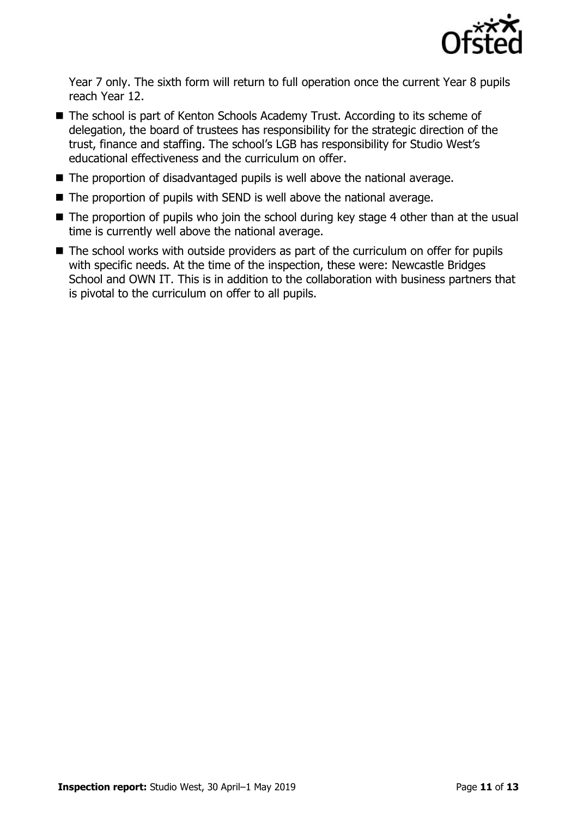

Year 7 only. The sixth form will return to full operation once the current Year 8 pupils reach Year 12.

- The school is part of Kenton Schools Academy Trust. According to its scheme of delegation, the board of trustees has responsibility for the strategic direction of the trust, finance and staffing. The school's LGB has responsibility for Studio West's educational effectiveness and the curriculum on offer.
- The proportion of disadvantaged pupils is well above the national average.
- The proportion of pupils with SEND is well above the national average.
- The proportion of pupils who join the school during key stage 4 other than at the usual time is currently well above the national average.
- The school works with outside providers as part of the curriculum on offer for pupils with specific needs. At the time of the inspection, these were: Newcastle Bridges School and OWN IT. This is in addition to the collaboration with business partners that is pivotal to the curriculum on offer to all pupils.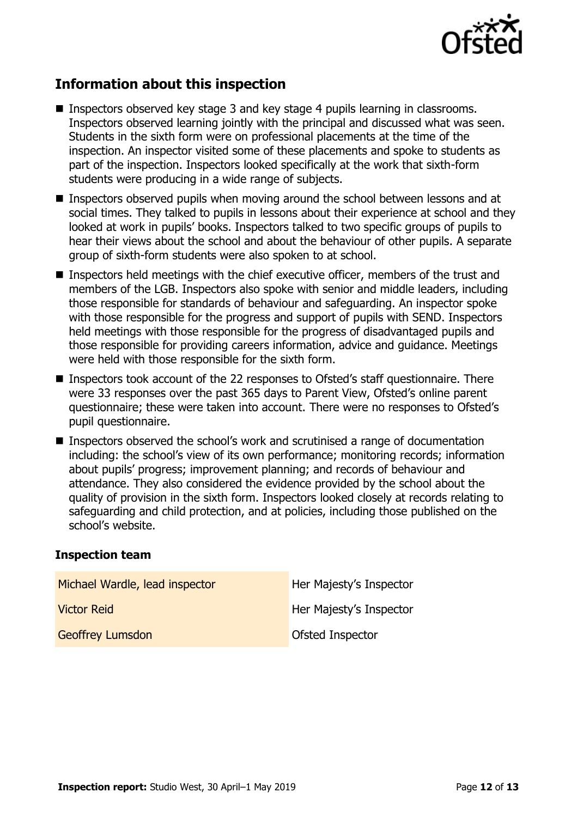

# **Information about this inspection**

- Inspectors observed key stage 3 and key stage 4 pupils learning in classrooms. Inspectors observed learning jointly with the principal and discussed what was seen. Students in the sixth form were on professional placements at the time of the inspection. An inspector visited some of these placements and spoke to students as part of the inspection. Inspectors looked specifically at the work that sixth-form students were producing in a wide range of subjects.
- Inspectors observed pupils when moving around the school between lessons and at social times. They talked to pupils in lessons about their experience at school and they looked at work in pupils' books. Inspectors talked to two specific groups of pupils to hear their views about the school and about the behaviour of other pupils. A separate group of sixth-form students were also spoken to at school.
- Inspectors held meetings with the chief executive officer, members of the trust and members of the LGB. Inspectors also spoke with senior and middle leaders, including those responsible for standards of behaviour and safeguarding. An inspector spoke with those responsible for the progress and support of pupils with SEND. Inspectors held meetings with those responsible for the progress of disadvantaged pupils and those responsible for providing careers information, advice and guidance. Meetings were held with those responsible for the sixth form.
- Inspectors took account of the 22 responses to Ofsted's staff questionnaire. There were 33 responses over the past 365 days to Parent View, Ofsted's online parent questionnaire; these were taken into account. There were no responses to Ofsted's pupil questionnaire.
- Inspectors observed the school's work and scrutinised a range of documentation including: the school's view of its own performance; monitoring records; information about pupils' progress; improvement planning; and records of behaviour and attendance. They also considered the evidence provided by the school about the quality of provision in the sixth form. Inspectors looked closely at records relating to safeguarding and child protection, and at policies, including those published on the school's website.

#### **Inspection team**

| Michael Wardle, lead inspector | Her Majesty's Inspector |
|--------------------------------|-------------------------|
| <b>Victor Reid</b>             | Her Majesty's Inspector |
| <b>Geoffrey Lumsdon</b>        | Ofsted Inspector        |